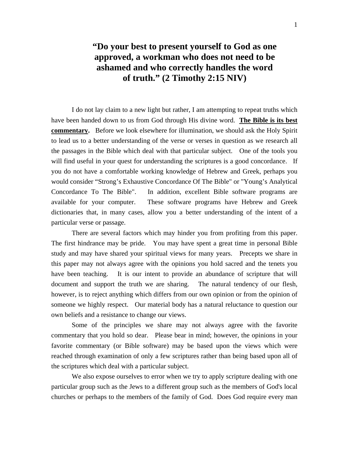# **"Do your best to present yourself to God as one approved, a workman who does not need to be ashamed and who correctly handles the word of truth." (2 Timothy 2:15 NIV)**

I do not lay claim to a new light but rather, I am attempting to repeat truths which have been handed down to us from God through His divine word. **The Bible is its best commentary.** Before we look elsewhere for illumination, we should ask the Holy Spirit to lead us to a better understanding of the verse or verses in question as we research all the passages in the Bible which deal with that particular subject. One of the tools you will find useful in your quest for understanding the scriptures is a good concordance. If you do not have a comfortable working knowledge of Hebrew and Greek, perhaps you would consider "Strong's Exhaustive Concordance Of The Bible" or "Young's Analytical Concordance To The Bible". In addition, excellent Bible software programs are available for your computer. These software programs have Hebrew and Greek dictionaries that, in many cases, allow you a better understanding of the intent of a particular verse or passage.

There are several factors which may hinder you from profiting from this paper. The first hindrance may be pride. You may have spent a great time in personal Bible study and may have shared your spiritual views for many years. Precepts we share in this paper may not always agree with the opinions you hold sacred and the tenets you have been teaching. It is our intent to provide an abundance of scripture that will document and support the truth we are sharing. The natural tendency of our flesh, however, is to reject anything which differs from our own opinion or from the opinion of someone we highly respect. Our material body has a natural reluctance to question our own beliefs and a resistance to change our views.

 Some of the principles we share may not always agree with the favorite commentary that you hold so dear. Please bear in mind; however, the opinions in your favorite commentary (or Bible software) may be based upon the views which were reached through examination of only a few scriptures rather than being based upon all of the scriptures which deal with a particular subject.

We also expose ourselves to error when we try to apply scripture dealing with one particular group such as the Jews to a different group such as the members of God's local churches or perhaps to the members of the family of God. Does God require every man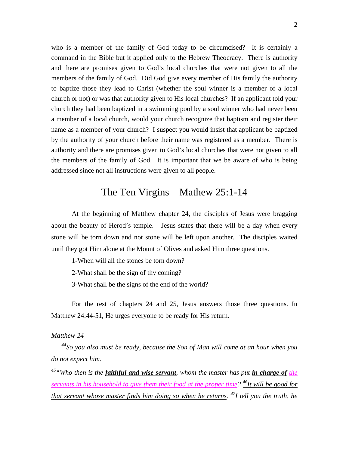who is a member of the family of God today to be circumcised? It is certainly a command in the Bible but it applied only to the Hebrew Theocracy. There is authority and there are promises given to God's local churches that were not given to all the members of the family of God. Did God give every member of His family the authority to baptize those they lead to Christ (whether the soul winner is a member of a local church or not) or was that authority given to His local churches? If an applicant told your church they had been baptized in a swimming pool by a soul winner who had never been a member of a local church, would your church recognize that baptism and register their name as a member of your church? I suspect you would insist that applicant be baptized by the authority of your church before their name was registered as a member. There is authority and there are promises given to God's local churches that were not given to all the members of the family of God. It is important that we be aware of who is being addressed since not all instructions were given to all people.

## The Ten Virgins – Mathew 25:1-14

At the beginning of Matthew chapter 24, the disciples of Jesus were bragging about the beauty of Herod's temple. Jesus states that there will be a day when every stone will be torn down and not stone will be left upon another. The disciples waited until they got Him alone at the Mount of Olives and asked Him three questions.

1-When will all the stones be torn down?

2-What shall be the sign of thy coming?

3-What shall be the signs of the end of the world?

For the rest of chapters 24 and 25, Jesus answers those three questions. In Matthew 24:44-51, He urges everyone to be ready for His return.

#### *Matthew 24*

*44So you also must be ready, because the Son of Man will come at an hour when you do not expect him.* 

*45"Who then is the faithful and wise servant, whom the master has put in charge of the servants in his household to give them their food at the proper time? 46It will be good for that servant whose master finds him doing so when he returns. 47I tell you the truth, he*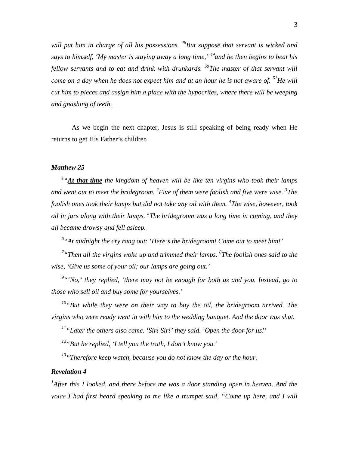*will put him in charge of all his possessions. 48But suppose that servant is wicked and says to himself, 'My master is staying away a long time,' 49and he then begins to beat his fellow servants and to eat and drink with drunkards. 50The master of that servant will come on a day when he does not expect him and at an hour he is not aware of.* <sup>51</sup>He will *cut him to pieces and assign him a place with the hypocrites, where there will be weeping and gnashing of teeth.* 

As we begin the next chapter, Jesus is still speaking of being ready when He returns to get His Father's children

#### *Matthew 25*

<sup>1</sup> "At that time the kingdom of heaven will be like ten virgins who took their lamps *and went out to meet the bridegroom. <sup>2</sup> Five of them were foolish and five were wise. <sup>3</sup> The foolish ones took their lamps but did not take any oil with them. <sup>4</sup> The wise, however, took oil in jars along with their lamps. <sup>5</sup> The bridegroom was a long time in coming, and they all became drowsy and fell asleep.* 

*6 "At midnight the cry rang out: 'Here's the bridegroom! Come out to meet him!'* 

*7 "Then all the virgins woke up and trimmed their lamps. <sup>8</sup> The foolish ones said to the wise, 'Give us some of your oil; our lamps are going out.'* 

<sup>9</sup> "'No,' they replied, 'there may not be enough for both us and you. Instead, go to *those who sell oil and buy some for yourselves.'* 

*10"But while they were on their way to buy the oil, the bridegroom arrived. The virgins who were ready went in with him to the wedding banquet. And the door was shut.* 

*11"Later the others also came. 'Sir! Sir!' they said. 'Open the door for us!'* 

*12"But he replied, 'I tell you the truth, I don't know you.'* 

*13"Therefore keep watch, because you do not know the day or the hour.* 

#### *Revelation 4*

<sup>1</sup>After this I looked, and there before me was a door standing open in heaven. And the *voice I had first heard speaking to me like a trumpet said, "Come up here, and I will*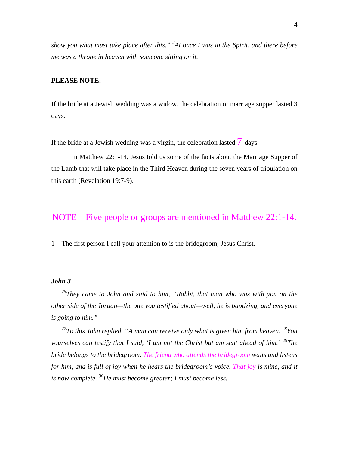*show you what must take place after this." <sup>2</sup> At once I was in the Spirit, and there before me was a throne in heaven with someone sitting on it.* 

#### **PLEASE NOTE:**

If the bride at a Jewish wedding was a widow, the celebration or marriage supper lasted 3 days.

If the bride at a Jewish wedding was a virgin, the celebration lasted  $\overline{7}$  days.

In Matthew 22:1-14, Jesus told us some of the facts about the Marriage Supper of the Lamb that will take place in the Third Heaven during the seven years of tribulation on this earth (Revelation 19:7-9).

## NOTE – Five people or groups are mentioned in Matthew 22:1-14.

1 – The first person I call your attention to is the bridegroom, Jesus Christ.

#### *John 3*

*26They came to John and said to him, "Rabbi, that man who was with you on the other side of the Jordan—the one you testified about—well, he is baptizing, and everyone is going to him."* 

*27To this John replied, "A man can receive only what is given him from heaven. 28You yourselves can testify that I said, 'I am not the Christ but am sent ahead of him.'* <sup>29</sup>The *bride belongs to the bridegroom. The friend who attends the bridegroom waits and listens for him, and is full of joy when he hears the bridegroom's voice. That joy is mine, and it is now complete. 30He must become greater; I must become less.*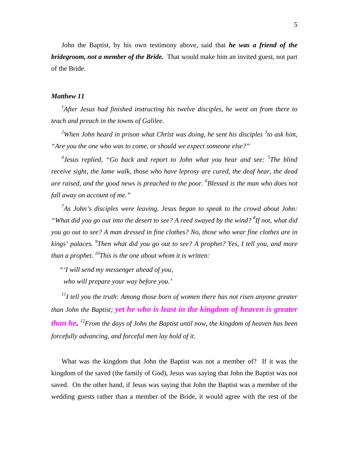John the Baptist, by his own testimony above, said that *he was a friend of the bridegroom, not a member of the Bride.* That would make him an invited guest, not part of the Bride.

#### *Matthew 11*

*1 After Jesus had finished instructing his twelve disciples, he went on from there to teach and preach in the towns of Galilee.* 

<sup>2</sup>When John heard in prison what Christ was doing, he sent his disciples <sup>3</sup> to ask him, *"Are you the one who was to come, or should we expect someone else?"* 

*4 Jesus replied, "Go back and report to John what you hear and see: <sup>5</sup> The blind receive sight, the lame walk, those who have leprosy are cured, the deaf hear, the dead are raised, and the good news is preached to the poor. <sup>6</sup> Blessed is the man who does not fall away on account of me."* 

*7 As John's disciples were leaving, Jesus began to speak to the crowd about John: "What did you go out into the desert to see? A reed swayed by the wind? <sup>8</sup> If not, what did you go out to see? A man dressed in fine clothes? No, those who wear fine clothes are in kings' palaces. <sup>9</sup> Then what did you go out to see? A prophet? Yes, I tell you, and more than a prophet. 10This is the one about whom it is written:* 

 *"'I will send my messenger ahead of you,* 

 *who will prepare your way before you.'* 

*11I tell you the truth: Among those born of women there has not risen anyone greater than John the Baptist; yet he who is least in the kingdom of heaven is greater than he. 12From the days of John the Baptist until now, the kingdom of heaven has been forcefully advancing, and forceful men lay hold of it.* 

What was the kingdom that John the Baptist was not a member of? If it was the kingdom of the saved (the family of God), Jesus was saying that John the Baptist was not saved. On the other hand, if Jesus was saying that John the Baptist was a member of the wedding guests rather than a member of the Bride, it would agree with the rest of the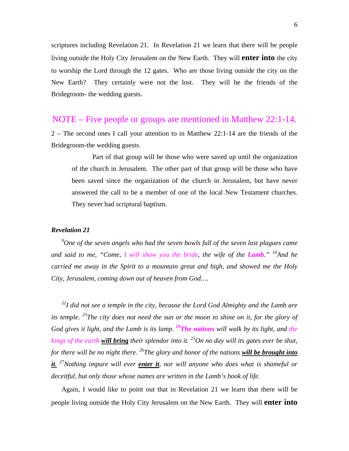scriptures including Revelation 21. In Revelation 21 we learn that there will be people living outside the Holy City Jerusalem on the New Earth. They will **enter into** the city to worship the Lord through the 12 gates. Who are those living outside the city on the New Earth? They certainly were not the lost. They will be the friends of the Bridegroom- the wedding guests.

### NOTE – Five people or groups are mentioned in Matthew 22:1-14.

2 – The second ones I call your attention to in Matthew 22:1-14 are the friends of the Bridegroom-the wedding guests.

 Part of that group will be those who were saved up until the organization of the church in Jerusalem. The other part of that group will be those who have been saved since the organization of the church in Jerusalem, but have never answered the call to be a member of one of the local New Testament churches. They never had scriptural baptism.

#### *Revelation 21*

*9 One of the seven angels who had the seven bowls full of the seven last plagues came and said to me, "Come, I will show you the bride, the wife of the Lamb."* <sup>10</sup>And he *carried me away in the Spirit to a mountain great and high, and showed me the Holy City, Jerusalem, coming down out of heaven from God….* 

*22I did not see a temple in the city, because the Lord God Almighty and the Lamb are its temple. 23The city does not need the sun or the moon to shine on it, for the glory of God gives it light, and the Lamb is its lamp. 24The nations will walk by its light, and the kings of the earth will bring their splendor into it. 25On no day will its gates ever be shut, for there will be no night there. 26The glory and honor of the nations will be brought into it. 27Nothing impure will ever enter it, nor will anyone who does what is shameful or deceitful, but only those whose names are written in the Lamb's book of life.* 

Again, I would like to point out that in Revelation 21 we learn that there will be people living outside the Holy City Jerusalem on the New Earth. They will **enter into**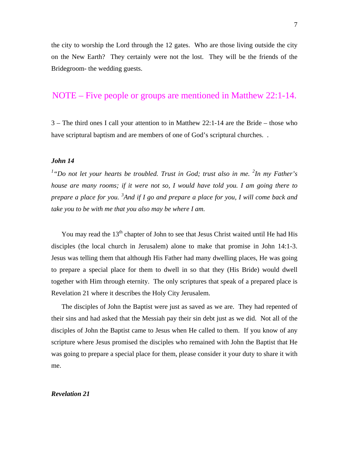the city to worship the Lord through the 12 gates. Who are those living outside the city on the New Earth? They certainly were not the lost. They will be the friends of the Bridegroom- the wedding guests.

## NOTE – Five people or groups are mentioned in Matthew 22:1-14.

3 – The third ones I call your attention to in Matthew 22:1-14 are the Bride – those who have scriptural baptism and are members of one of God's scriptural churches...

#### *John 14*

<sup>1</sup>"Do not let your hearts be troubled. Trust in God; trust also in me. <sup>2</sup>In my Father's *house are many rooms; if it were not so, I would have told you. I am going there to prepare a place for you. <sup>3</sup> And if I go and prepare a place for you, I will come back and take you to be with me that you also may be where I am.* 

You may read the  $13<sup>th</sup>$  chapter of John to see that Jesus Christ waited until He had His disciples (the local church in Jerusalem) alone to make that promise in John 14:1-3. Jesus was telling them that although His Father had many dwelling places, He was going to prepare a special place for them to dwell in so that they (His Bride) would dwell together with Him through eternity. The only scriptures that speak of a prepared place is Revelation 21 where it describes the Holy City Jerusalem.

The disciples of John the Baptist were just as saved as we are. They had repented of their sins and had asked that the Messiah pay their sin debt just as we did. Not all of the disciples of John the Baptist came to Jesus when He called to them. If you know of any scripture where Jesus promised the disciples who remained with John the Baptist that He was going to prepare a special place for them, please consider it your duty to share it with me.

#### *Revelation 21*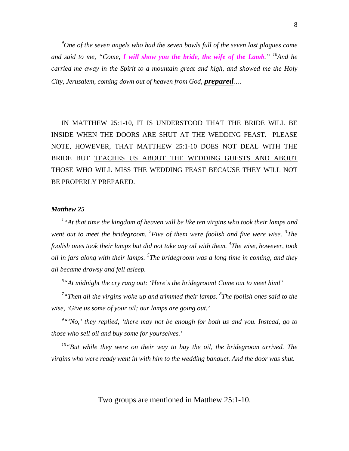*9 One of the seven angels who had the seven bowls full of the seven last plagues came and said to me, "Come, I will show you the bride, the wife of the Lamb."* <sup>10</sup>And he *carried me away in the Spirit to a mountain great and high, and showed me the Holy City, Jerusalem, coming down out of heaven from God, prepared….* 

IN MATTHEW 25:1-10, IT IS UNDERSTOOD THAT THE BRIDE WILL BE INSIDE WHEN THE DOORS ARE SHUT AT THE WEDDING FEAST. PLEASE NOTE, HOWEVER, THAT MATTHEW 25:1-10 DOES NOT DEAL WITH THE BRIDE BUT TEACHES US ABOUT THE WEDDING GUESTS AND ABOUT THOSE WHO WILL MISS THE WEDDING FEAST BECAUSE THEY WILL NOT BE PROPERLY PREPARED.

#### *Matthew 25*

*1 "At that time the kingdom of heaven will be like ten virgins who took their lamps and*  went out to meet the bridegroom. <sup>2</sup> Five of them were foolish and five were wise. <sup>3</sup> The *foolish ones took their lamps but did not take any oil with them. <sup>4</sup> The wise, however, took oil in jars along with their lamps. <sup>5</sup> The bridegroom was a long time in coming, and they all became drowsy and fell asleep.* 

*6 "At midnight the cry rang out: 'Here's the bridegroom! Come out to meet him!'* 

*7 "Then all the virgins woke up and trimmed their lamps. <sup>8</sup> The foolish ones said to the wise, 'Give us some of your oil; our lamps are going out.'* 

<sup>9</sup> "'No,' they replied, 'there may not be enough for both us and you. Instead, go to *those who sell oil and buy some for yourselves.'* 

*10"But while they were on their way to buy the oil, the bridegroom arrived. The virgins who were ready went in with him to the wedding banquet. And the door was shut.* 

Two groups are mentioned in Matthew 25:1-10.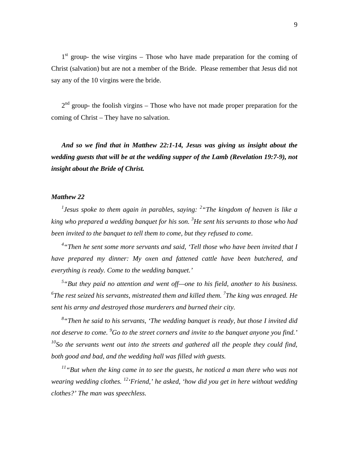$1<sup>st</sup>$  group- the wise virgins – Those who have made preparation for the coming of Christ (salvation) but are not a member of the Bride. Please remember that Jesus did not say any of the 10 virgins were the bride.

 $2<sup>nd</sup>$  group- the foolish virgins – Those who have not made proper preparation for the coming of Christ – They have no salvation.

*And so we find that in Matthew 22:1-14, Jesus was giving us insight about the wedding guests that will be at the wedding supper of the Lamb (Revelation 19:7-9), not insight about the Bride of Christ.* 

#### *Matthew 22*

*1 Jesus spoke to them again in parables, saying: <sup>2</sup> "The kingdom of heaven is like a king who prepared a wedding banquet for his son. <sup>3</sup> He sent his servants to those who had been invited to the banquet to tell them to come, but they refused to come.* 

<sup>4</sup> "Then he sent some more servants and said, 'Tell those who have been invited that I *have prepared my dinner: My oxen and fattened cattle have been butchered, and everything is ready. Come to the wedding banquet.'* 

<sup>5</sup> "But they paid no attention and went off—one to his field, another to his business. *6 The rest seized his servants, mistreated them and killed them. 7 The king was enraged. He sent his army and destroyed those murderers and burned their city.* 

*8 "Then he said to his servants, 'The wedding banquet is ready, but those I invited did not deserve to come. <sup>9</sup> Go to the street corners and invite to the banquet anyone you find.' 10So the servants went out into the streets and gathered all the people they could find, both good and bad, and the wedding hall was filled with guests.* 

*11"But when the king came in to see the guests, he noticed a man there who was not wearing wedding clothes. 12'Friend,' he asked, 'how did you get in here without wedding clothes?' The man was speechless.*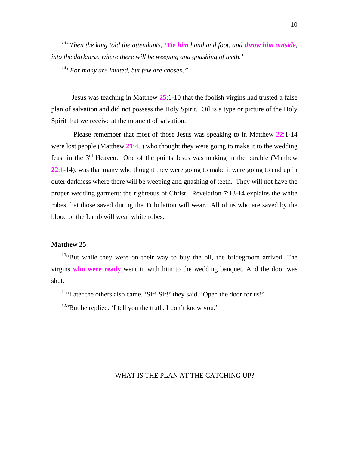*13"Then the king told the attendants, 'Tie him hand and foot, and throw him outside, into the darkness, where there will be weeping and gnashing of teeth.'* 

*14"For many are invited, but few are chosen."* 

Jesus was teaching in Matthew **25**:1-10 that the foolish virgins had trusted a false plan of salvation and did not possess the Holy Spirit. Oil is a type or picture of the Holy Spirit that we receive at the moment of salvation.

 Please remember that most of those Jesus was speaking to in Matthew **22**:1-14 were lost people (Matthew **21**:45) who thought they were going to make it to the wedding feast in the 3rd Heaven. One of the points Jesus was making in the parable (Matthew **22**:1-14), was that many who thought they were going to make it were going to end up in outer darkness where there will be weeping and gnashing of teeth. They will not have the proper wedding garment: the righteous of Christ. Revelation 7:13-14 explains the white robes that those saved during the Tribulation will wear. All of us who are saved by the blood of the Lamb will wear white robes.

#### **Matthew 25**

 $10$ "But while they were on their way to buy the oil, the bridegroom arrived. The virgins **who were ready** went in with him to the wedding banquet. And the door was shut.

<sup>11</sup>"Later the others also came. 'Sir! Sir!' they said. 'Open the door for us!'

 $12$ "But he replied, 'I tell you the truth, I don't know you.'

#### WHAT IS THE PLAN AT THE CATCHING UP?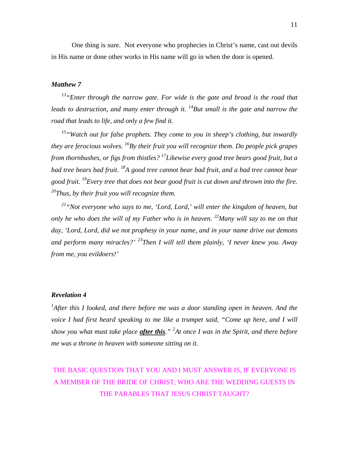One thing is sure. Not everyone who prophecies in Christ's name, cast out devils in His name or done other works in His name will go in when the door is opened.

#### *Matthew 7*

*13"Enter through the narrow gate. For wide is the gate and broad is the road that leads to destruction, and many enter through it.* <sup>14</sup>But small is the gate and narrow the *road that leads to life, and only a few find it.* 

*15"Watch out for false prophets. They come to you in sheep's clothing, but inwardly they are ferocious wolves. 16By their fruit you will recognize them. Do people pick grapes from thornbushes, or figs from thistles? 17Likewise every good tree bears good fruit, but a bad tree bears bad fruit. 18A good tree cannot bear bad fruit, and a bad tree cannot bear good fruit. 19Every tree that does not bear good fruit is cut down and thrown into the fire. 20Thus, by their fruit you will recognize them.* 

*21"Not everyone who says to me, 'Lord, Lord,' will enter the kingdom of heaven, but only he who does the will of my Father who is in heaven. 22Many will say to me on that day, 'Lord, Lord, did we not prophesy in your name, and in your name drive out demons and perform many miracles?' 23Then I will tell them plainly, 'I never knew you. Away from me, you evildoers!'* 

#### *Revelation 4*

<sup>1</sup>After this I looked, and there before me was a door standing open in heaven. And the *voice I had first heard speaking to me like a trumpet said, "Come up here, and I will show you what must take place after this." <sup>2</sup> At once I was in the Spirit, and there before me was a throne in heaven with someone sitting on it.* 

# THE BASIC QUESTION THAT YOU AND I MUST ANSWER IS, IF EVERYONE IS A MEMBER OF THE BRIDE OF CHRIST, WHO ARE THE WEDDING GUESTS IN THE PARABLES THAT JESUS CHRIST TAUGHT?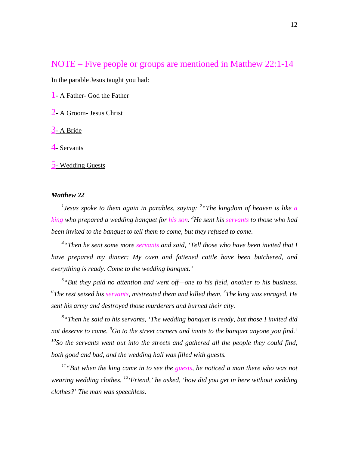## NOTE – Five people or groups are mentioned in Matthew 22:1-14

In the parable Jesus taught you had:

1- A Father- God the Father

2- A Groom- Jesus Christ

3- A Bride

4- Servants

5- Wedding Guests

#### *Matthew 22*

*1 Jesus spoke to them again in parables, saying: <sup>2</sup> "The kingdom of heaven is like a king who prepared a wedding banquet for his son. <sup>3</sup> He sent his servants to those who had been invited to the banquet to tell them to come, but they refused to come.* 

*4 "Then he sent some more servants and said, 'Tell those who have been invited that I have prepared my dinner: My oxen and fattened cattle have been butchered, and everything is ready. Come to the wedding banquet.'* 

<sup>5</sup> "But they paid no attention and went off—one to his field, another to his business. *6 The rest seized his servants, mistreated them and killed them. 7 The king was enraged. He sent his army and destroyed those murderers and burned their city.* 

*8 "Then he said to his servants, 'The wedding banquet is ready, but those I invited did not deserve to come. <sup>9</sup> Go to the street corners and invite to the banquet anyone you find.' 10So the servants went out into the streets and gathered all the people they could find, both good and bad, and the wedding hall was filled with guests.* 

*11"But when the king came in to see the guests, he noticed a man there who was not wearing wedding clothes. 12'Friend,' he asked, 'how did you get in here without wedding clothes?' The man was speechless.*